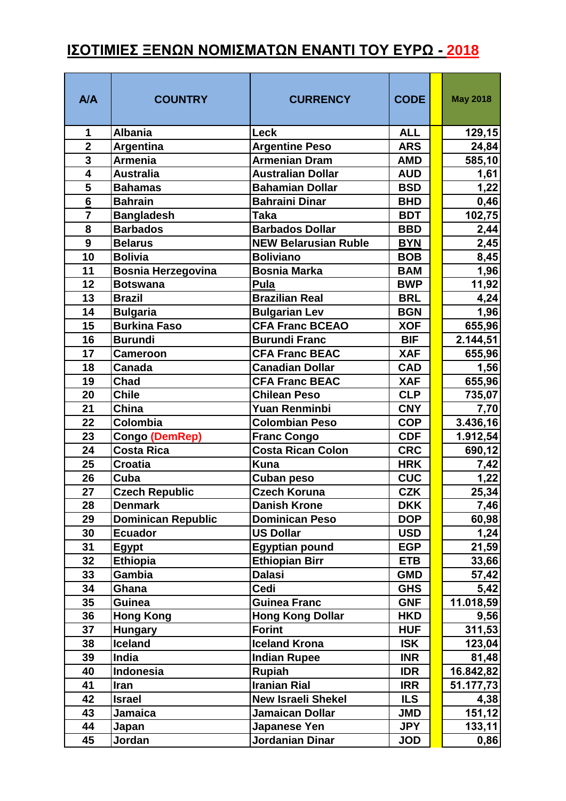## **ΙΣΟΤΙΜΙΕΣ ΞΕΝΩΝ ΝΟΜΙΣΜΑΤΩΝ ΕΝΑΝΤΙ ΤΟΥ ΕΥΡΩ - 2018**

| A/A                     | <b>COUNTRY</b>                   | <b>CURRENCY</b>                          | <b>CODE</b>              | <b>May 2018</b>    |
|-------------------------|----------------------------------|------------------------------------------|--------------------------|--------------------|
| 1                       | <b>Albania</b>                   | <b>Leck</b>                              | <b>ALL</b>               | 129,15             |
| $\overline{2}$          | Argentina                        | <b>Argentine Peso</b>                    | <b>ARS</b>               | 24,84              |
| $\overline{\mathbf{3}}$ | <b>Armenia</b>                   | <b>Armenian Dram</b>                     | <b>AMD</b>               | 585,10             |
| $\overline{4}$          | <b>Australia</b>                 | <b>Australian Dollar</b>                 | <b>AUD</b>               | 1,61               |
| $\overline{\mathbf{5}}$ | <b>Bahamas</b>                   | <b>Bahamian Dollar</b>                   | <b>BSD</b>               | 1,22               |
| $\overline{6}$          | <b>Bahrain</b>                   | <b>Bahraini Dinar</b>                    | <b>BHD</b>               | 0,46               |
| $\overline{7}$          | <b>Bangladesh</b>                | <b>Taka</b>                              | <b>BDT</b>               | 102,75             |
| 8                       | <b>Barbados</b>                  | <b>Barbados Dollar</b>                   | <b>BBD</b>               | 2,44               |
| $\boldsymbol{9}$        | <b>Belarus</b>                   | <b>NEW Belarusian Ruble</b>              | <b>BYN</b>               | 2,45               |
| 10                      | <b>Bolivia</b>                   | <b>Boliviano</b>                         | <b>BOB</b>               | 8,45               |
| 11                      | <b>Bosnia Herzegovina</b>        | <b>Bosnia Marka</b>                      | <b>BAM</b>               | 1,96               |
| 12                      | <b>Botswana</b>                  | Pula                                     | <b>BWP</b>               | 11,92              |
| 13                      | <b>Brazil</b>                    | <b>Brazilian Real</b>                    | <b>BRL</b>               | 4,24               |
| 14                      | <b>Bulgaria</b>                  | <b>Bulgarian Lev</b>                     | <b>BGN</b>               | 1,96               |
| 15                      | <b>Burkina Faso</b>              | <b>CFA Franc BCEAO</b>                   | <b>XOF</b>               | 655,96             |
| 16                      | <b>Burundi</b>                   | <b>Burundi Franc</b>                     | <b>BIF</b>               | 2.144,51           |
| 17                      | <b>Cameroon</b>                  | <b>CFA Franc BEAC</b>                    | <b>XAF</b>               | 655,96             |
| 18                      | Canada                           | <b>Canadian Dollar</b>                   | <b>CAD</b>               | 1,56               |
| 19                      | Chad                             | <b>CFA Franc BEAC</b>                    | <b>XAF</b>               | 655,96             |
| 20                      | <b>Chile</b>                     | <b>Chilean Peso</b>                      | <b>CLP</b>               | 735,07             |
| 21                      | China                            | <b>Yuan Renminbi</b>                     | <b>CNY</b>               | 7,70               |
| 22                      | Colombia                         | <b>Colombian Peso</b>                    | <b>COP</b>               | 3.436,16           |
| 23                      | <b>Congo (DemRep)</b>            | <b>Franc Congo</b>                       | <b>CDF</b>               | 1.912,54           |
| 24                      | <b>Costa Rica</b>                | <b>Costa Rican Colon</b>                 | <b>CRC</b>               | 690,12             |
| 25                      | <b>Croatia</b>                   | <b>Kuna</b>                              | <b>HRK</b>               | 7,42               |
| 26                      | Cuba                             | <b>Cuban peso</b>                        | <b>CUC</b>               | 1,22               |
| 27                      | <b>Czech Republic</b>            | <b>Czech Koruna</b>                      | <b>CZK</b>               | 25,34              |
| 28                      | <b>Denmark</b>                   | <b>Danish Krone</b>                      | <b>DKK</b>               | 7,46               |
| 29                      | <b>Dominican Republic</b>        | <b>Dominican Peso</b>                    | <b>DOP</b>               | 60,98              |
| 30                      | <b>Ecuador</b>                   | <b>US Dollar</b>                         | <b>USD</b>               | 1,24               |
| 31                      | Egypt                            | <b>Egyptian pound</b>                    | <b>EGP</b>               | 21,59              |
| 32                      | <b>Ethiopia</b>                  | <b>Ethiopian Birr</b>                    | <b>ETB</b>               | 33,66              |
| 33                      | Gambia                           | <b>Dalasi</b>                            | <b>GMD</b>               | 57,42              |
| 34<br>35                | Ghana<br>Guinea                  | Cedi<br><b>Guinea Franc</b>              | <b>GHS</b><br><b>GNF</b> | 5,42               |
| 36                      |                                  |                                          | <b>HKD</b>               | 11.018,59          |
| 37                      | <b>Hong Kong</b>                 | <b>Hong Kong Dollar</b><br><b>Forint</b> | <b>HUF</b>               | 9,56<br>311,53     |
| 38                      | <b>Hungary</b><br><b>Iceland</b> | <b>Iceland Krona</b>                     | <b>ISK</b>               | 123,04             |
| 39                      | India                            | <b>Indian Rupee</b>                      | <b>INR</b>               |                    |
| 40                      | Indonesia                        | <b>Rupiah</b>                            | <b>IDR</b>               | 81,48<br>16.842,82 |
| 41                      | Iran                             | <b>Iranian Rial</b>                      | <b>IRR</b>               | 51.177,73          |
| 42                      | <b>Israel</b>                    | <b>New Israeli Shekel</b>                | <b>ILS</b>               | 4,38               |
| 43                      | <b>Jamaica</b>                   | <b>Jamaican Dollar</b>                   | <b>JMD</b>               | 151,12             |
| 44                      | Japan                            | Japanese Yen                             | <b>JPY</b>               | 133,11             |
| 45                      | Jordan                           | Jordanian Dinar                          | <b>JOD</b>               | 0,86               |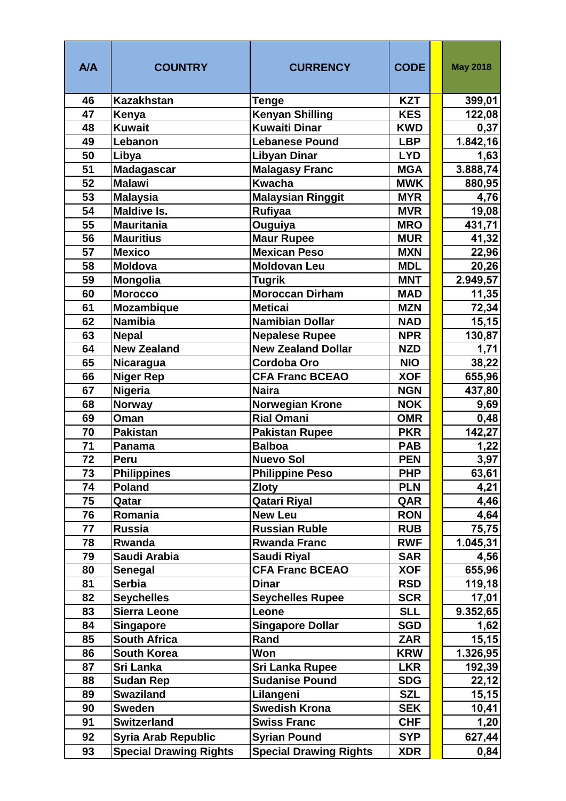| A/A | <b>COUNTRY</b>                | <b>CURRENCY</b>               | <b>CODE</b> | <b>May 2018</b> |
|-----|-------------------------------|-------------------------------|-------------|-----------------|
| 46  | <b>Kazakhstan</b>             | Tenge                         | <b>KZT</b>  | 399,01          |
| 47  | Kenya                         | <b>Kenyan Shilling</b>        | <b>KES</b>  | 122,08          |
| 48  | <b>Kuwait</b>                 | <b>Kuwaiti Dinar</b>          | <b>KWD</b>  | 0,37            |
| 49  | Lebanon                       | <b>Lebanese Pound</b>         | <b>LBP</b>  | 1.842,16        |
| 50  | Libya                         | <b>Libyan Dinar</b>           | <b>LYD</b>  | 1,63            |
| 51  | <b>Madagascar</b>             | <b>Malagasy Franc</b>         | <b>MGA</b>  | 3.888,74        |
| 52  | <b>Malawi</b>                 | Kwacha                        | <b>MWK</b>  | 880,95          |
| 53  | <b>Malaysia</b>               | <b>Malaysian Ringgit</b>      | <b>MYR</b>  | 4,76            |
| 54  | <b>Maldive Is.</b>            | <b>Rufiyaa</b>                | <b>MVR</b>  | 19,08           |
| 55  | <b>Mauritania</b>             | Ouguiya                       | <b>MRO</b>  | 431,71          |
| 56  | <b>Mauritius</b>              | <b>Maur Rupee</b>             | <b>MUR</b>  | 41,32           |
| 57  | <b>Mexico</b>                 | <b>Mexican Peso</b>           | <b>MXN</b>  | 22,96           |
| 58  | <b>Moldova</b>                | <b>Moldovan Leu</b>           | <b>MDL</b>  | 20,26           |
| 59  | Mongolia                      | <b>Tugrik</b>                 | <b>MNT</b>  | 2.949,57        |
| 60  | <b>Morocco</b>                | Moroccan Dirham               | <b>MAD</b>  | 11,35           |
| 61  | <b>Mozambique</b>             | <b>Meticai</b>                | <b>MZN</b>  | 72,34           |
| 62  | <b>Namibia</b>                | <b>Namibian Dollar</b>        | <b>NAD</b>  | 15, 15          |
| 63  | <b>Nepal</b>                  | <b>Nepalese Rupee</b>         | <b>NPR</b>  | 130,87          |
| 64  | <b>New Zealand</b>            | <b>New Zealand Dollar</b>     | <b>NZD</b>  | 1,71            |
| 65  | Nicaragua                     | <b>Cordoba Oro</b>            | <b>NIO</b>  | 38,22           |
| 66  | <b>Niger Rep</b>              | <b>CFA Franc BCEAO</b>        | <b>XOF</b>  | 655,96          |
| 67  | <b>Nigeria</b>                | <b>Naira</b>                  | <b>NGN</b>  | 437,80          |
| 68  | <b>Norway</b>                 | Norwegian Krone               | <b>NOK</b>  | 9,69            |
| 69  | Oman                          | <b>Rial Omani</b>             | <b>OMR</b>  | 0,48            |
| 70  | <b>Pakistan</b>               | <b>Pakistan Rupee</b>         | <b>PKR</b>  | 142,27          |
| 71  | Panama                        | <b>Balboa</b>                 | <b>PAB</b>  | 1,22            |
| 72  | Peru                          | <b>Nuevo Sol</b>              | <b>PEN</b>  | 3,97            |
| 73  | <b>Philippines</b>            | <b>Philippine Peso</b>        | <b>PHP</b>  | 63,61           |
| 74  | <b>Poland</b>                 | <b>Zloty</b>                  | <b>PLN</b>  | 4,21            |
| 75  | Qatar                         | <b>Qatari Riyal</b>           | QAR         | 4,46            |
| 76  | Romania                       | <b>New Leu</b>                | <b>RON</b>  | 4,64            |
| 77  | <b>Russia</b>                 | <b>Russian Ruble</b>          | <b>RUB</b>  | 75,75           |
| 78  | Rwanda                        | <b>Rwanda Franc</b>           | <b>RWF</b>  | 1.045,31        |
| 79  | Saudi Arabia                  | <b>Saudi Riyal</b>            | <b>SAR</b>  | 4,56            |
| 80  | Senegal                       | <b>CFA Franc BCEAO</b>        | <b>XOF</b>  | 655,96          |
| 81  | <b>Serbia</b>                 | <b>Dinar</b>                  | <b>RSD</b>  | 119,18          |
| 82  | <b>Seychelles</b>             | <b>Seychelles Rupee</b>       | <b>SCR</b>  | 17,01           |
| 83  | <b>Sierra Leone</b>           | Leone                         | <b>SLL</b>  | 9.352,65        |
| 84  | <b>Singapore</b>              | <b>Singapore Dollar</b>       | <b>SGD</b>  | 1,62            |
| 85  | <b>South Africa</b>           | Rand                          | <b>ZAR</b>  | 15, 15          |
| 86  | <b>South Korea</b>            | Won                           | <b>KRW</b>  | 1.326,95        |
| 87  | Sri Lanka                     | <b>Sri Lanka Rupee</b>        | <b>LKR</b>  | 192,39          |
| 88  | <b>Sudan Rep</b>              | <b>Sudanise Pound</b>         | <b>SDG</b>  | 22,12           |
| 89  | <b>Swaziland</b>              | Lilangeni                     | <b>SZL</b>  | 15, 15          |
| 90  | <b>Sweden</b>                 | <b>Swedish Krona</b>          | <b>SEK</b>  | 10,41           |
| 91  | <b>Switzerland</b>            | <b>Swiss Franc</b>            | <b>CHF</b>  | 1,20            |
| 92  | <b>Syria Arab Republic</b>    | <b>Syrian Pound</b>           | <b>SYP</b>  | 627,44          |
| 93  | <b>Special Drawing Rights</b> | <b>Special Drawing Rights</b> | <b>XDR</b>  | 0,84            |